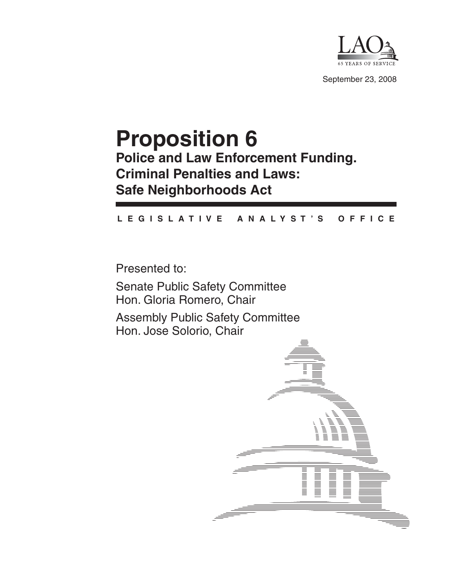

September 23, 2008

# **Proposition 6 Police and Law Enforcement Funding. Criminal Penalties and Laws: Safe Neighborhoods Act**

### **L E G I S L A T I V E A N A L Y S T ' S O F F I C E**

Presented to:

Senate Public Safety Committee Hon. Gloria Romero, Chair

Assembly Public Safety Committee Hon. Jose Solorio, Chair

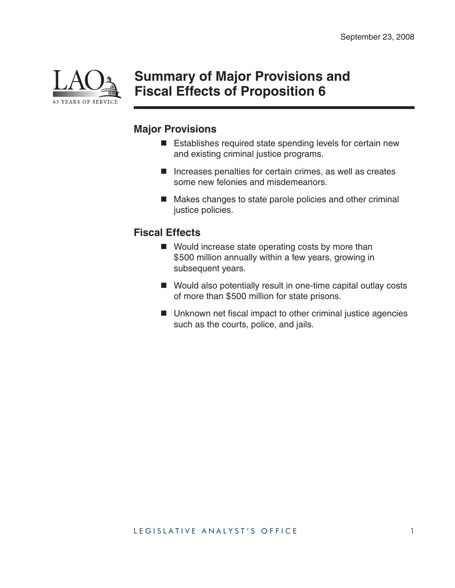

## **Summary of Major Provisions and Fiscal Effects of Proposition 6**

## **Major Provisions**

- Establishes required state spending levels for certain new and existing criminal justice programs.
- $\blacksquare$  Increases penalties for certain crimes, as well as creates some new felonies and misdemeanors.
- Makes changes to state parole policies and other criminal justice policies.

## **Fiscal Effects**

- Would increase state operating costs by more than \$500 million annually within a few years, growing in subsequent years.
- Would also potentially result in one-time capital outlay costs of more than \$500 million for state prisons.
- $\blacksquare$  Unknown net fiscal impact to other criminal justice agencies such as the courts, police, and jails.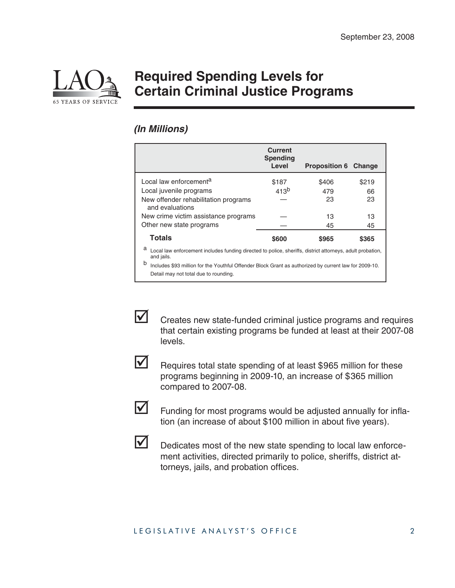

## **Required Spending Levels for Certain Criminal Justice Programs**

### *(In Millions)*

|                                                                                                                              | <b>Current</b><br><b>Spending</b><br>Level | <b>Proposition 6 Change</b> |       |
|------------------------------------------------------------------------------------------------------------------------------|--------------------------------------------|-----------------------------|-------|
| Local law enforcement <sup>a</sup>                                                                                           | \$187                                      | \$406                       | \$219 |
| Local juvenile programs                                                                                                      | 41.3 <sup>b</sup>                          | 479                         | 66    |
| New offender rehabilitation programs<br>and evaluations                                                                      |                                            | 23                          | 23    |
| New crime victim assistance programs                                                                                         |                                            | 13                          | 13    |
| Other new state programs                                                                                                     |                                            | 45                          | 45    |
| <b>Totals</b>                                                                                                                | \$600                                      | \$965                       | \$365 |
| а<br>Local law enforcement includes funding directed to police, sheriffs, district attorneys, adult probation,<br>and jails. |                                            |                             |       |
| b<br>Includes \$93 million for the Youthful Offender Block Grant as authorized by current law for 2009-10.                   |                                            |                             |       |
| Detail may not total due to rounding.                                                                                        |                                            |                             |       |



 $\triangleright$  Creates new state-funded criminal justice programs and requires that certain existing programs be funded at least at their 2007-08 levels.



 $\triangledown$  Requires total state spending of at least \$965 million for these programs beginning in 2009-10, an increase of \$365 million compared to 2007-08.



 $\triangleright$  Funding for most programs would be adjusted annually for inflation (an increase of about \$100 million in about five years).



 $\triangleright$  Dedicates most of the new state spending to local law enforcement activities, directed primarily to police, sheriffs, district attorneys, jails, and probation offices.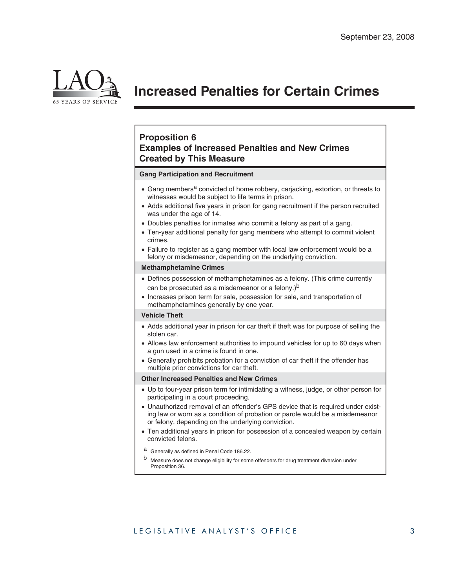

## **Increased Penalties for Certain Crimes**

### **Proposition 6 Examples of Increased Penalties and New Crimes Created by This Measure**

#### **Gang Participation and Recruitment**

- Gang members<sup>a</sup> convicted of home robbery, carjacking, extortion, or threats to witnesses would be subject to life terms in prison.
- Adds additional five years in prison for gang recruitment if the person recruited was under the age of 14.
- Doubles penalties for inmates who commit a felony as part of a gang.
- Ten-year additional penalty for gang members who attempt to commit violent crimes.
- Failure to register as a gang member with local law enforcement would be a felony or misdemeanor, depending on the underlying conviction.

#### **Methamphetamine Crimes**

- Defines possession of methamphetamines as a felony. (This crime currently can be prosecuted as a misdemeanor or a felony.)<sup>b</sup>
- Increases prison term for sale, possession for sale, and transportation of methamphetamines generally by one year.

#### **Vehicle Theft**

- Adds additional year in prison for car theft if theft was for purpose of selling the stolen car.
- Allows law enforcement authorities to impound vehicles for up to 60 days when a gun used in a crime is found in one.
- Generally prohibits probation for a conviction of car theft if the offender has multiple prior convictions for car theft.

#### **Other Increased Penalties and New Crimes**

- x Up to four-year prison term for intimidating a witness, judge, or other person for participating in a court proceeding.
- Unauthorized removal of an offender's GPS device that is required under existing law or worn as a condition of probation or parole would be a misdemeanor or felony, depending on the underlying conviction.
- Ten additional years in prison for possession of a concealed weapon by certain convicted felons.
- a Generally as defined in Penal Code 186.22.
- b Measure does not change eligibility for some offenders for drug treatment diversion under Proposition 36.

### LEGISLATIVE ANALYST'S OFFICE 3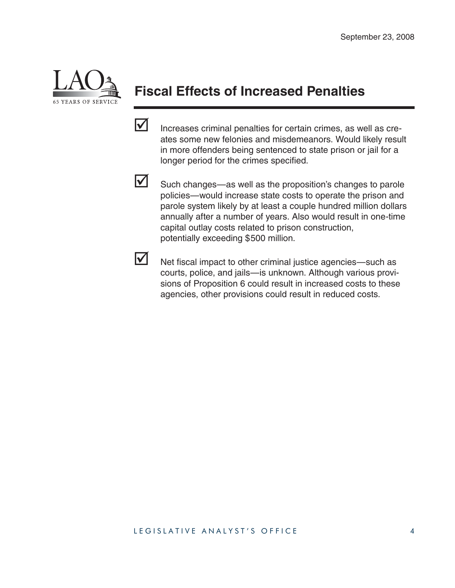

# **Fiscal Effects of Increased Penalties**

 $\triangledown$  Increases criminal penalties for certain crimes, as well as creates some new felonies and misdemeanors. Would likely result in more offenders being sentenced to state prison or jail for a longer period for the crimes specified.



 $\triangleright$  Such changes—as well as the proposition's changes to parole policies—would increase state costs to operate the prison and parole system likely by at least a couple hundred million dollars annually after a number of years. Also would result in one-time capital outlay costs related to prison construction, potentially exceeding \$500 million.



 $\triangleright$  Net fiscal impact to other criminal justice agencies—such as courts, police, and jails—is unknown. Although various provisions of Proposition 6 could result in increased costs to these agencies, other provisions could result in reduced costs.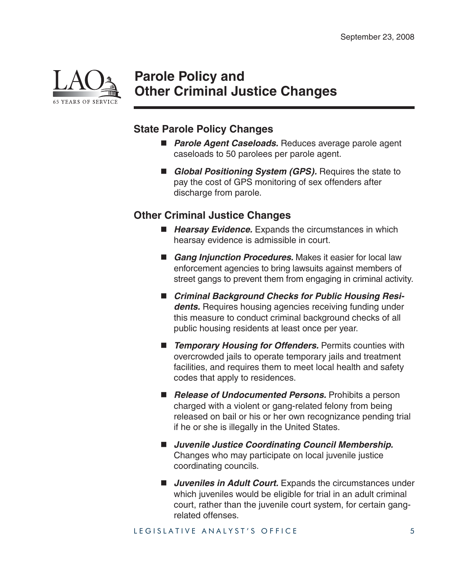

## **Parole Policy and Other Criminal Justice Changes**

### **State Parole Policy Changes**

- *Parole Agent Caseloads.* Reduces average parole agent caseloads to 50 parolees per parole agent.
- *Global Positioning System (GPS)*. Requires the state to pay the cost of GPS monitoring of sex offenders after discharge from parole.

### **Other Criminal Justice Changes**

- Hearsay Evidence. Expands the circumstances in which hearsay evidence is admissible in court.
- *Gang Injunction Procedures.* Makes it easier for local law enforcement agencies to bring lawsuits against members of street gangs to prevent them from engaging in criminal activity.
- Criminal Background Checks for Public Housing Resi**dents.** Requires housing agencies receiving funding under this measure to conduct criminal background checks of all public housing residents at least once per year.
- **Temporary Housing for Offenders.** Permits counties with overcrowded jails to operate temporary jails and treatment facilities, and requires them to meet local health and safety codes that apply to residences.
- **Release of Undocumented Persons.** Prohibits a person charged with a violent or gang-related felony from being released on bail or his or her own recognizance pending trial if he or she is illegally in the United States.
- Juvenile Justice Coordinating Council Membership. Changes who may participate on local juvenile justice coordinating councils.
- **I** Juveniles in Adult Court. Expands the circumstances under which juveniles would be eligible for trial in an adult criminal court, rather than the juvenile court system, for certain gangrelated offenses.

LEGISLATIVE ANALYST'S OFFICE 5